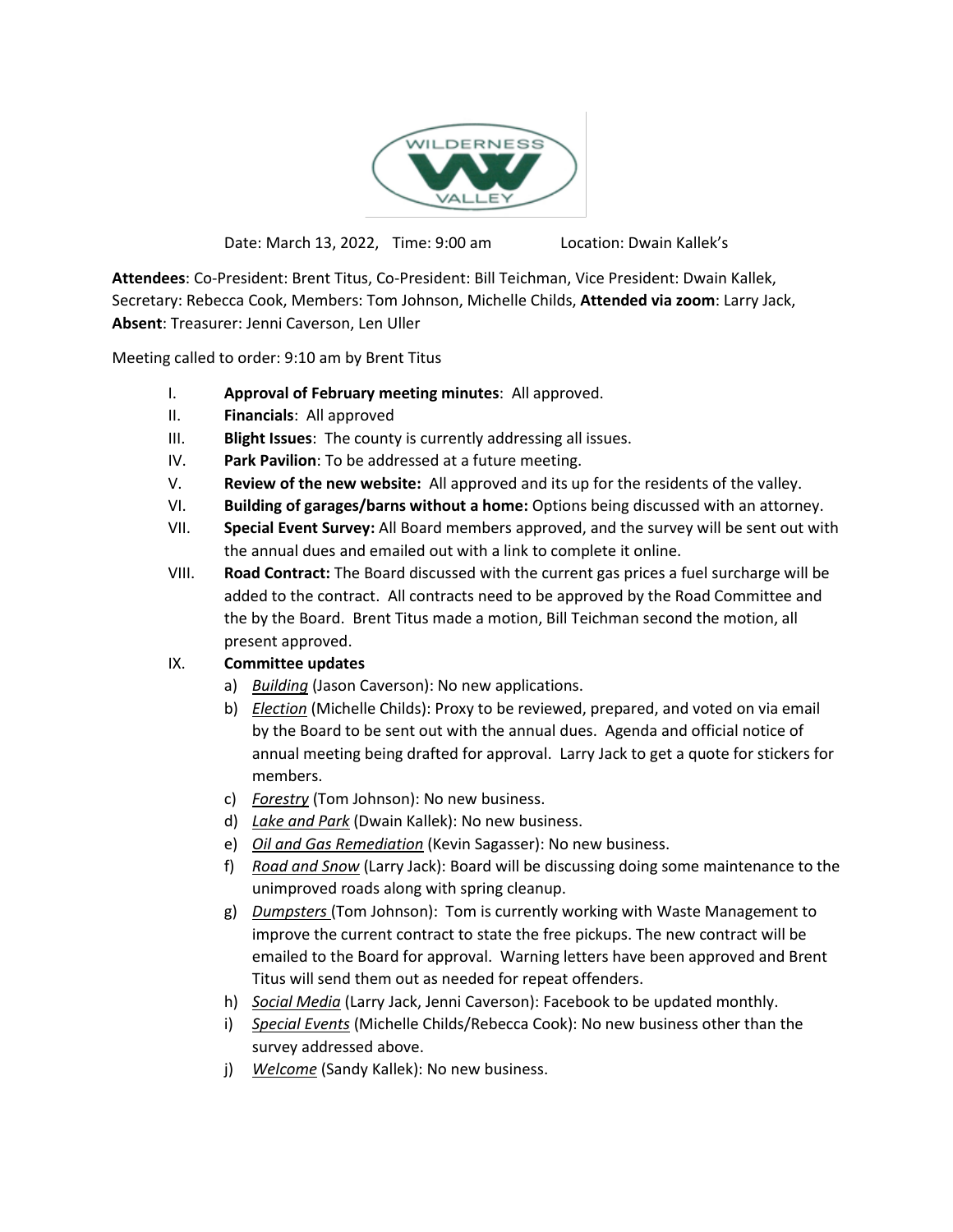

Date: March 13, 2022, Time: 9:00 am Location: Dwain Kallek's

**Attendees**: Co-President: Brent Titus, Co-President: Bill Teichman, Vice President: Dwain Kallek, Secretary: Rebecca Cook, Members: Tom Johnson, Michelle Childs, **Attended via zoom**: Larry Jack, **Absent**: Treasurer: Jenni Caverson, Len Uller

Meeting called to order: 9:10 am by Brent Titus

- I. **Approval of February meeting minutes**: All approved.
- II. **Financials**: All approved
- III. **Blight Issues**: The county is currently addressing all issues.
- IV. **Park Pavilion**: To be addressed at a future meeting.
- V. **Review of the new website:** All approved and its up for the residents of the valley.
- VI. **Building of garages/barns without a home:** Options being discussed with an attorney.
- VII. **Special Event Survey:** All Board members approved, and the survey will be sent out with the annual dues and emailed out with a link to complete it online.
- VIII. **Road Contract:** The Board discussed with the current gas prices a fuel surcharge will be added to the contract. All contracts need to be approved by the Road Committee and the by the Board. Brent Titus made a motion, Bill Teichman second the motion, all present approved.

## IX. **Committee updates**

- a) *Building* (Jason Caverson): No new applications.
- b) *Election* (Michelle Childs): Proxy to be reviewed, prepared, and voted on via email by the Board to be sent out with the annual dues. Agenda and official notice of annual meeting being drafted for approval. Larry Jack to get a quote for stickers for members.
- c) *Forestry* (Tom Johnson): No new business.
- d) *Lake and Park* (Dwain Kallek): No new business.
- e) *Oil and Gas Remediation* (Kevin Sagasser): No new business.
- f) *Road and Snow* (Larry Jack): Board will be discussing doing some maintenance to the unimproved roads along with spring cleanup.
- g) *Dumpsters* (Tom Johnson): Tom is currently working with Waste Management to improve the current contract to state the free pickups. The new contract will be emailed to the Board for approval. Warning letters have been approved and Brent Titus will send them out as needed for repeat offenders.
- h) *Social Media* (Larry Jack, Jenni Caverson): Facebook to be updated monthly.
- i) *Special Events* (Michelle Childs/Rebecca Cook): No new business other than the survey addressed above.
- j) *Welcome* (Sandy Kallek): No new business.